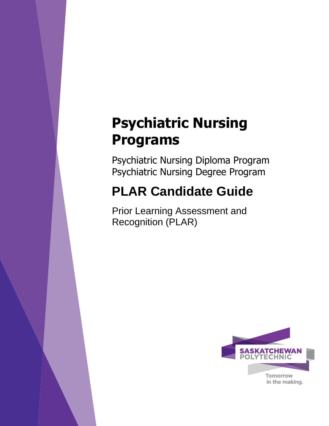# **Psychiatric Nursing Programs**

Psychiatric Nursing Diploma Program Psychiatric Nursing Degree Program

# **PLAR Candidate Guide**

Prior Learning Assessment and Recognition (PLAR)

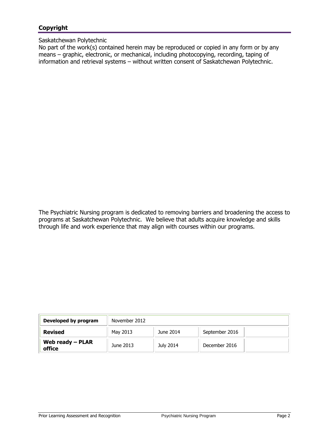# **Copyright**

#### Saskatchewan Polytechnic

No part of the work(s) contained herein may be reproduced or copied in any form or by any means – graphic, electronic, or mechanical, including photocopying, recording, taping of information and retrieval systems – without written consent of Saskatchewan Polytechnic.

The Psychiatric Nursing program is dedicated to removing barriers and broadening the access to programs at Saskatchewan Polytechnic. We believe that adults acquire knowledge and skills through life and work experience that may align with courses within our programs.

| Developed by program         | November 2012 |           |                |  |  |
|------------------------------|---------------|-----------|----------------|--|--|
| Revised                      | May 2013      | June 2014 | September 2016 |  |  |
| Web ready $-$ PLAR<br>office | June 2013     | July 2014 | December 2016  |  |  |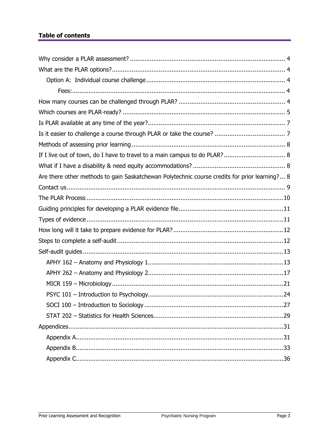# **Table of contents**

| If I live out of town, do I have to travel to a main campus to do PLAR? 8                     |
|-----------------------------------------------------------------------------------------------|
|                                                                                               |
| Are there other methods to gain Saskatchewan Polytechnic course credits for prior learning? 8 |
|                                                                                               |
|                                                                                               |
|                                                                                               |
|                                                                                               |
|                                                                                               |
|                                                                                               |
|                                                                                               |
|                                                                                               |
|                                                                                               |
|                                                                                               |
|                                                                                               |
|                                                                                               |
|                                                                                               |
|                                                                                               |
|                                                                                               |
|                                                                                               |
|                                                                                               |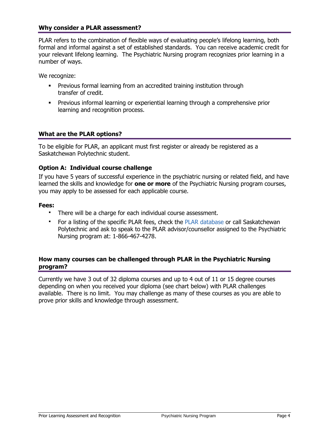#### <span id="page-3-0"></span>**Why consider a PLAR assessment?**

PLAR refers to the combination of flexible ways of evaluating people's lifelong learning, both formal and informal against a set of established standards. You can receive academic credit for your relevant lifelong learning. The Psychiatric Nursing program recognizes prior learning in a number of ways.

We recognize:

- Previous formal learning from an accredited training institution through transfer of credit.
- <span id="page-3-1"></span>**Previous informal learning or experiential learning through a comprehensive prior** learning and recognition process.

# **What are the PLAR options?**

To be eligible for PLAR, an applicant must first register or already be registered as a Saskatchewan Polytechnic student.

#### **Option A: Individual course challenge**

If you have 5 years of successful experience in the psychiatric nursing or related field, and have learned the skills and knowledge for **one or more** of the Psychiatric Nursing program courses, you may apply to be assessed for each applicable course.

#### **Fees:**

- <span id="page-3-3"></span><span id="page-3-2"></span>There will be a charge for each individual course assessment.
- For a listing of the specific PLAR fees, check the [PLAR database](https://webprod.siast.sk.ca:8000/ceroneprod/szpkplar.P_PLARInformation) or call Saskatchewan Polytechnic and ask to speak to the PLAR advisor/counsellor assigned to the Psychiatric Nursing program at: 1-866-467-4278.

#### <span id="page-3-4"></span>**How many courses can be challenged through PLAR in the Psychiatric Nursing program?**

Currently we have 3 out of 32 diploma courses and up to 4 out of 11 or 15 degree courses depending on when you received your diploma (see chart below) with PLAR challenges available. There is no limit. You may challenge as many of these courses as you are able to prove prior skills and knowledge through assessment.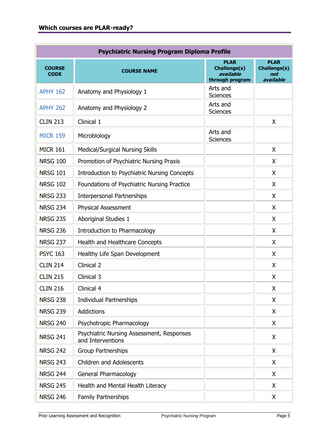<span id="page-4-0"></span>

| <b>Psychiatric Nursing Program Diploma Profile</b> |                                                                |                                                                    |                                                        |  |  |  |  |  |
|----------------------------------------------------|----------------------------------------------------------------|--------------------------------------------------------------------|--------------------------------------------------------|--|--|--|--|--|
| <b>COURSE</b><br><b>CODE</b>                       | <b>COURSE NAME</b>                                             | <b>PLAR</b><br><b>Challenge(s)</b><br>available<br>through program | <b>PLAR</b><br><b>Challenge(s)</b><br>not<br>available |  |  |  |  |  |
| <b>APHY 162</b>                                    | Anatomy and Physiology 1                                       | Arts and<br><b>Sciences</b>                                        |                                                        |  |  |  |  |  |
| <b>APHY 262</b>                                    | Anatomy and Physiology 2                                       | Arts and<br><b>Sciences</b>                                        |                                                        |  |  |  |  |  |
| <b>CLIN 213</b>                                    | Clinical 1                                                     |                                                                    | X                                                      |  |  |  |  |  |
| <b>MICR 159</b>                                    | Microbiology                                                   | Arts and<br><b>Sciences</b>                                        |                                                        |  |  |  |  |  |
| <b>MICR 161</b>                                    | <b>Medical/Surgical Nursing Skills</b>                         |                                                                    | X                                                      |  |  |  |  |  |
| <b>NRSG 100</b>                                    | Promotion of Psychiatric Nursing Praxis                        |                                                                    | X                                                      |  |  |  |  |  |
| <b>NRSG 101</b>                                    | Introduction to Psychiatric Nursing Concepts                   |                                                                    | X                                                      |  |  |  |  |  |
| <b>NRSG 102</b>                                    | Foundations of Psychiatric Nursing Practice                    |                                                                    | X                                                      |  |  |  |  |  |
| <b>NRSG 233</b>                                    | <b>Interpersonal Partnerships</b>                              |                                                                    | X                                                      |  |  |  |  |  |
| <b>NRSG 234</b>                                    | <b>Physical Assessment</b>                                     |                                                                    | X                                                      |  |  |  |  |  |
| <b>NRSG 235</b>                                    | <b>Aboriginal Studies 1</b>                                    |                                                                    | X                                                      |  |  |  |  |  |
| <b>NRSG 236</b>                                    | Introduction to Pharmacology                                   |                                                                    | X                                                      |  |  |  |  |  |
| <b>NRSG 237</b>                                    | Health and Healthcare Concepts                                 |                                                                    | X                                                      |  |  |  |  |  |
| <b>PSYC 163</b>                                    | Healthy Life Span Development                                  |                                                                    | X                                                      |  |  |  |  |  |
| <b>CLIN 214</b>                                    | Clinical 2                                                     |                                                                    | X                                                      |  |  |  |  |  |
| <b>CLIN 215</b>                                    | Clinical 3                                                     |                                                                    | X                                                      |  |  |  |  |  |
| <b>CLIN 216</b>                                    | Clinical 4                                                     |                                                                    | X                                                      |  |  |  |  |  |
| <b>NRSG 238</b>                                    | <b>Individual Partnerships</b>                                 |                                                                    | X                                                      |  |  |  |  |  |
| <b>NRSG 239</b>                                    | Addictions                                                     |                                                                    | X                                                      |  |  |  |  |  |
| <b>NRSG 240</b>                                    | Psychotropic Pharmacology                                      |                                                                    | X                                                      |  |  |  |  |  |
| <b>NRSG 241</b>                                    | Psychiatric Nursing Assessment, Responses<br>and Interventions |                                                                    | X                                                      |  |  |  |  |  |
| <b>NRSG 242</b>                                    | <b>Group Partnerships</b>                                      |                                                                    | X                                                      |  |  |  |  |  |
| <b>NRSG 243</b>                                    | <b>Children and Adolescents</b>                                |                                                                    | X                                                      |  |  |  |  |  |
| <b>NRSG 244</b>                                    | General Pharmacology                                           |                                                                    | X                                                      |  |  |  |  |  |
| <b>NRSG 245</b>                                    | Health and Mental Health Literacy                              |                                                                    | X                                                      |  |  |  |  |  |
| <b>NRSG 246</b>                                    | <b>Family Partnerships</b>                                     |                                                                    | X                                                      |  |  |  |  |  |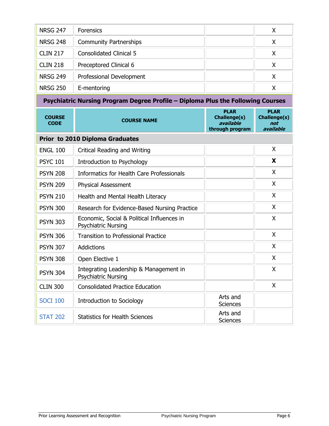| <b>NRSG 247</b>              | <b>Forensics</b>                                                                |                                                             | X                                               |
|------------------------------|---------------------------------------------------------------------------------|-------------------------------------------------------------|-------------------------------------------------|
| <b>NRSG 248</b>              | <b>Community Partnerships</b>                                                   |                                                             | X                                               |
| <b>CLIN 217</b>              | <b>Consolidated Clinical 5</b>                                                  |                                                             | X                                               |
| <b>CLIN 218</b>              | Preceptored Clinical 6                                                          |                                                             | X                                               |
| <b>NRSG 249</b>              | Professional Development                                                        |                                                             | X                                               |
| <b>NRSG 250</b>              | E-mentoring                                                                     |                                                             | X                                               |
|                              | Psychiatric Nursing Program Degree Profile - Diploma Plus the Following Courses |                                                             |                                                 |
| <b>COURSE</b><br><b>CODE</b> | <b>COURSE NAME</b>                                                              | <b>PLAR</b><br>Challenge(s)<br>available<br>through program | <b>PLAR</b><br>Challenge(s)<br>not<br>available |
|                              | Prior to 2010 Diploma Graduates                                                 |                                                             |                                                 |
| <b>ENGL 100</b>              | Critical Reading and Writing                                                    |                                                             | X                                               |
| <b>PSYC 101</b>              | Introduction to Psychology                                                      |                                                             | X                                               |
| <b>PSYN 208</b>              | <b>Informatics for Health Care Professionals</b>                                |                                                             | X                                               |
| <b>PSYN 209</b>              | <b>Physical Assessment</b>                                                      |                                                             | X                                               |
| <b>PSYN 210</b>              | Health and Mental Health Literacy                                               |                                                             | X                                               |
| <b>PSYN 300</b>              | Research for Evidence-Based Nursing Practice                                    |                                                             | X                                               |
| <b>PSYN 303</b>              | Economic, Social & Political Influences in<br><b>Psychiatric Nursing</b>        |                                                             | X                                               |
| <b>PSYN 306</b>              | <b>Transition to Professional Practice</b>                                      |                                                             | X                                               |
| <b>PSYN 307</b>              | Addictions                                                                      |                                                             | X                                               |
| <b>PSYN 308</b>              | Open Elective 1                                                                 |                                                             | X                                               |
| <b>PSYN 304</b>              | Integrating Leadership & Management in<br><b>Psychiatric Nursing</b>            |                                                             | X                                               |
| <b>CLIN 300</b>              | <b>Consolidated Practice Education</b>                                          |                                                             | X                                               |
| <b>SOCI 100</b>              | <b>Introduction to Sociology</b>                                                | Arts and<br><b>Sciences</b>                                 |                                                 |
| <b>STAT 202</b>              | <b>Statistics for Health Sciences</b>                                           | Arts and<br>Sciences                                        |                                                 |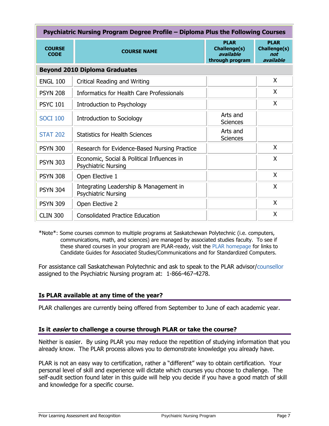| Psychiatric Nursing Program Degree Profile – Diploma Plus the Following Courses |                                                                          |                                                             |                                                        |  |  |  |  |
|---------------------------------------------------------------------------------|--------------------------------------------------------------------------|-------------------------------------------------------------|--------------------------------------------------------|--|--|--|--|
| <b>COURSE</b><br><b>CODE</b>                                                    | <b>COURSE NAME</b>                                                       | <b>PLAR</b><br>Challenge(s)<br>available<br>through program | <b>PLAR</b><br><b>Challenge(s)</b><br>not<br>available |  |  |  |  |
|                                                                                 | <b>Beyond 2010 Diploma Graduates</b>                                     |                                                             |                                                        |  |  |  |  |
| <b>ENGL 100</b>                                                                 | Critical Reading and Writing                                             |                                                             | X.                                                     |  |  |  |  |
| <b>PSYN 208</b>                                                                 | Informatics for Health Care Professionals                                |                                                             | X                                                      |  |  |  |  |
| <b>PSYC 101</b>                                                                 | Introduction to Psychology                                               |                                                             | X                                                      |  |  |  |  |
| <b>SOCI 100</b>                                                                 | Introduction to Sociology                                                | Arts and<br>Sciences                                        |                                                        |  |  |  |  |
| <b>STAT 202</b>                                                                 | <b>Statistics for Health Sciences</b>                                    | Arts and<br><b>Sciences</b>                                 |                                                        |  |  |  |  |
| <b>PSYN 300</b>                                                                 | Research for Evidence-Based Nursing Practice                             |                                                             | X                                                      |  |  |  |  |
| <b>PSYN 303</b>                                                                 | Economic, Social & Political Influences in<br><b>Psychiatric Nursing</b> |                                                             | X                                                      |  |  |  |  |
| <b>PSYN 308</b>                                                                 | Open Elective 1                                                          |                                                             | X                                                      |  |  |  |  |
| <b>PSYN 304</b>                                                                 | Integrating Leadership & Management in<br><b>Psychiatric Nursing</b>     |                                                             | X                                                      |  |  |  |  |
| <b>PSYN 309</b>                                                                 | Open Elective 2                                                          |                                                             | X                                                      |  |  |  |  |
| <b>CLIN 300</b>                                                                 | <b>Consolidated Practice Education</b>                                   |                                                             | X                                                      |  |  |  |  |

\*Note\*: Some courses common to multiple programs at Saskatchewan Polytechnic (i.e. computers, communications, math, and sciences) are managed by associated studies faculty. To see if these shared courses in your program are PLAR-ready, visit the [PLAR homepage](http://gosiast.com/admissions/resources/prior-learning-and-recognition.aspx) for links to Candidate Guides for Associated Studies/Communications and for Standardized Computers.

For assistance call Saskatchewan Polytechnic and ask to speak to the PLAR advisor[/counsellor](#page-8-1) assigned to the Psychiatric Nursing program at: 1-866-467-4278.

# <span id="page-6-0"></span>**Is PLAR available at any time of the year?**

PLAR challenges are currently being offered from September to June of each academic year.

# <span id="page-6-1"></span>**Is it easier to challenge a course through PLAR or take the course?**

Neither is easier. By using PLAR you may reduce the repetition of studying information that you already know. The PLAR process allows you to demonstrate knowledge you already have.

PLAR is not an easy way to certification, rather a "different" way to obtain certification. Your personal level of skill and experience will dictate which courses you choose to challenge. The self-audit section found later in this guide will help you decide if you have a good match of skill and knowledge for a specific course.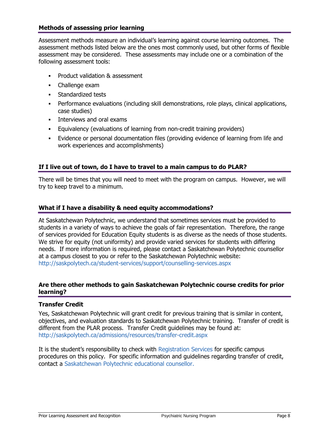## <span id="page-7-0"></span>**Methods of assessing prior learning**

Assessment methods measure an individual's learning against course learning outcomes. The assessment methods listed below are the ones most commonly used, but other forms of flexible assessment may be considered. These assessments may include one or a combination of the following assessment tools:

- Product validation & assessment
- Challenge exam
- **Standardized tests**
- Performance evaluations (including skill demonstrations, role plays, clinical applications, case studies)
- **Interviews and oral exams**
- Equivalency (evaluations of learning from non-credit training providers)
- <span id="page-7-1"></span> Evidence or personal documentation files (providing evidence of learning from life and work experiences and accomplishments)

#### **If I live out of town, do I have to travel to a main campus to do PLAR?**

There will be times that you will need to meet with the program on campus. However, we will try to keep travel to a minimum.

#### <span id="page-7-2"></span>**What if I have a disability & need equity accommodations?**

At Saskatchewan Polytechnic, we understand that sometimes services must be provided to students in a variety of ways to achieve the goals of fair representation. Therefore, the range of services provided for Education Equity students is as diverse as the needs of those students. We strive for equity (not uniformity) and provide varied services for students with differing needs. If more information is required, please contact a Saskatchewan Polytechnic counsellor at a campus closest to you or refer to the Saskatchewan Polytechnic website: <http://saskpolytech.ca/student-services/support/counselling-services.aspx>

#### <span id="page-7-3"></span>**Are there other methods to gain Saskatchewan Polytechnic course credits for prior learning?**

# **Transfer Credit**

Yes, Saskatchewan Polytechnic will grant credit for previous training that is similar in content, objectives, and evaluation standards to Saskatchewan Polytechnic training. Transfer of credit is different from the PLAR process. Transfer Credit guidelines may be found at: <http://saskpolytech.ca/admissions/resources/transfer-credit.aspx>

It is the student's responsibility to check with [Registration Services](http://saskpolytech.ca/admissions/resources/contact-us.aspx) for specific campus procedures on this policy. For specific information and guidelines regarding transfer of credit, contact a [Saskatchewan Polytechnic](http://saskpolytech.ca/student-services/support/counselling-services.aspx) educational counsellor.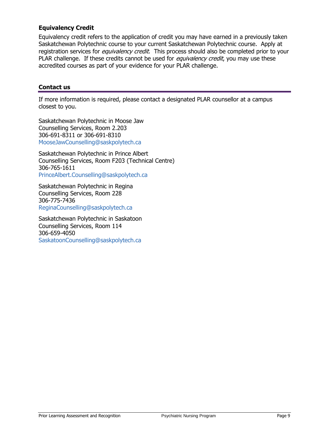# **Equivalency Credit**

Equivalency credit refers to the application of credit you may have earned in a previously taken Saskatchewan Polytechnic course to your current Saskatchewan Polytechnic course. Apply at registration services for *equivalency credit*. This process should also be completed prior to your PLAR challenge. If these credits cannot be used for *equivalency credit*, you may use these accredited courses as part of your evidence for your PLAR challenge.

## <span id="page-8-1"></span><span id="page-8-0"></span>**Contact us**

If more information is required, please contact a designated PLAR counsellor at a campus closest to you.

Saskatchewan Polytechnic in Moose Jaw Counselling Services, Room 2.203 306-691-8311 or 306-691-8310 [MooseJawCounselling@saskpolytech.ca](mailto:MooseJawCounselling@saskpolytech.ca)

Saskatchewan Polytechnic in Prince Albert Counselling Services, Room F203 (Technical Centre) 306-765-1611 [PrinceAlbert.Counselling@saskpolytech.ca](mailto:PrinceAlbert.Counselling@saskpolytech.ca)

Saskatchewan Polytechnic in Regina Counselling Services, Room 228 306-775-7436 [ReginaCounselling@saskpolytech.ca](mailto:ReginaCounselling@saskpolytech.ca)

Saskatchewan Polytechnic in Saskatoon Counselling Services, Room 114 306-659-4050 [SaskatoonCounselling@saskpolytech.ca](mailto:SaskatoonCounselling@saskpolytech.ca)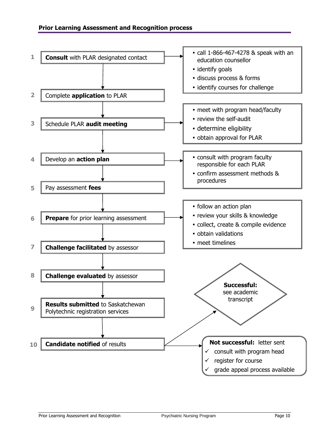<span id="page-9-2"></span><span id="page-9-1"></span><span id="page-9-0"></span>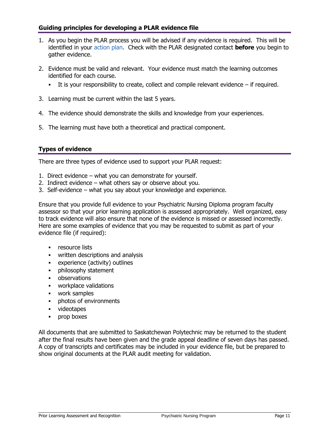# <span id="page-10-0"></span>**Guiding principles for developing a PLAR evidence file**

- 1. As you begin the PLAR process you will be advised if any evidence is required. This will be identified in your [action plan.](#page-9-1) Check with the PLAR designated contact **before** you begin to gather evidence.
- 2. Evidence must be valid and relevant. Your evidence must match the learning outcomes identified for each course.
	- It is your responsibility to create, collect and compile relevant evidence  $-$  if required.
- 3. Learning must be current within the last 5 years.
- 4. The evidence should demonstrate the skills and knowledge from your experiences.
- 5. The learning must have both a theoretical and practical component.

# <span id="page-10-1"></span>**Types of evidence**

There are three types of evidence used to support your PLAR request:

- 1. Direct evidence what you can demonstrate for yourself.
- 2. Indirect evidence what others say or observe about you.
- 3. Self-evidence what you say about your knowledge and experience.

Ensure that you provide full evidence to your Psychiatric Nursing Diploma program faculty assessor so that your prior learning application is assessed appropriately. Well organized, easy to track evidence will also ensure that none of the evidence is missed or assessed incorrectly. Here are some examples of evidence that you may be requested to submit as part of your evidence file (if required):

- **•** resource lists
- **•** written descriptions and analysis
- experience (activity) outlines
- **•** philosophy statement
- **•** observations
- **•** workplace validations
- work samples
- **•** photos of environments
- videotapes
- **•** prop boxes

All documents that are submitted to Saskatchewan Polytechnic may be returned to the student after the final results have been given and the grade appeal deadline of seven days has passed. A copy of transcripts and certificates may be included in your evidence file, but be prepared to show original documents at the PLAR audit meeting for validation.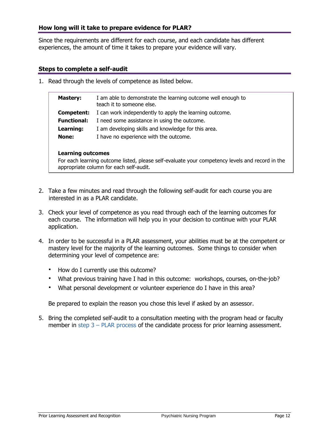Since the requirements are different for each course, and each candidate has different experiences, the amount of time it takes to prepare your evidence will vary.

#### **Steps to complete a self-audit**

1. Read through the levels of competence as listed below.

<span id="page-11-1"></span><span id="page-11-0"></span>

| <b>Mastery:</b>    | I am able to demonstrate the learning outcome well enough to<br>teach it to someone else. |
|--------------------|-------------------------------------------------------------------------------------------|
| Competent:         | I can work independently to apply the learning outcome.                                   |
| <b>Functional:</b> | I need some assistance in using the outcome.                                              |
| Learning:          | I am developing skills and knowledge for this area.                                       |
| <b>None:</b>       | I have no experience with the outcome.                                                    |
|                    |                                                                                           |

#### **Learning outcomes**

For each learning outcome listed, please self-evaluate your competency levels and record in the appropriate column for each self-audit.

- 2. Take a few minutes and read through the following self-audit for each course you are interested in as a PLAR candidate.
- 3. Check your level of competence as you read through each of the learning outcomes for each course. The information will help you in your decision to continue with your PLAR application.
- 4. In order to be successful in a PLAR assessment, your abilities must be at the competent or mastery level for the majority of the learning outcomes. Some things to consider when determining your level of competence are:
	- How do I currently use this outcome?
	- What previous training have I had in this outcome: workshops, courses, on-the-job?
	- What personal development or volunteer experience do I have in this area?

Be prepared to explain the reason you chose this level if asked by an assessor.

5. Bring the completed self-audit to a consultation meeting with the program head or faculty member in step  $3 - PLAR$  process of the candidate process for prior learning assessment.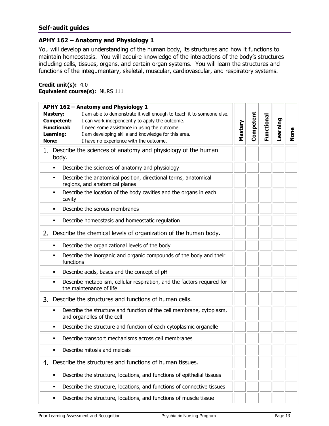# <span id="page-12-0"></span>**Self-audit guides**

#### <span id="page-12-2"></span>**APHY 162 – Anatomy and Physiology 1**

You will develop an understanding of the human body, its structures and how it functions to maintain homeostasis. You will acquire knowledge of the interactions of the body's structures including cells, tissues, organs, and certain organ systems. You will learn the structures and functions of the integumentary, skeletal, muscular, cardiovascular, and respiratory systems.

#### <span id="page-12-1"></span>**Credit unit(s):** 4.0 **Equivalent course(s):** NURS 111

| APHY 162 - Anatomy and Physiology 1                                                                     |         |           |            |          |      |
|---------------------------------------------------------------------------------------------------------|---------|-----------|------------|----------|------|
| I am able to demonstrate it well enough to teach it to someone else.<br><b>Mastery:</b>                 |         |           |            |          |      |
| I can work independently to apply the outcome.<br>Competent:                                            |         | Competent | Functional | Learning |      |
| <b>Functional:</b><br>I need some assistance in using the outcome.                                      | Mastery |           |            |          |      |
| I am developing skills and knowledge for this area.<br>Learning:                                        |         |           |            |          | None |
| I have no experience with the outcome.<br>None:                                                         |         |           |            |          |      |
| Describe the sciences of anatomy and physiology of the human<br>1.<br>body.                             |         |           |            |          |      |
| Describe the sciences of anatomy and physiology<br>٠                                                    |         |           |            |          |      |
| Describe the anatomical position, directional terms, anatomical<br>٠<br>regions, and anatomical planes  |         |           |            |          |      |
| Describe the location of the body cavities and the organs in each<br>cavity                             |         |           |            |          |      |
| Describe the serous membranes<br>٠                                                                      |         |           |            |          |      |
| Describe homeostasis and homeostatic regulation<br>٠                                                    |         |           |            |          |      |
| Describe the chemical levels of organization of the human body.<br>2.                                   |         |           |            |          |      |
| Describe the organizational levels of the body<br>٠                                                     |         |           |            |          |      |
| Describe the inorganic and organic compounds of the body and their<br>٠<br>functions                    |         |           |            |          |      |
| Describe acids, bases and the concept of pH<br>٠                                                        |         |           |            |          |      |
| Describe metabolism, cellular respiration, and the factors required for<br>٠<br>the maintenance of life |         |           |            |          |      |
| Describe the structures and functions of human cells.<br>3.                                             |         |           |            |          |      |
| Describe the structure and function of the cell membrane, cytoplasm,<br>٠<br>and organelles of the cell |         |           |            |          |      |
| Describe the structure and function of each cytoplasmic organelle<br>٠                                  |         |           |            |          |      |
| Describe transport mechanisms across cell membranes<br>٠                                                |         |           |            |          |      |
| Describe mitosis and meiosis<br>٠                                                                       |         |           |            |          |      |
| Describe the structures and functions of human tissues.<br>4.                                           |         |           |            |          |      |
| Describe the structure, locations, and functions of epithelial tissues<br>٠                             |         |           |            |          |      |
| Describe the structure, locations, and functions of connective tissues<br>٠                             |         |           |            |          |      |
| Describe the structure, locations, and functions of muscle tissue<br>٠                                  |         |           |            |          |      |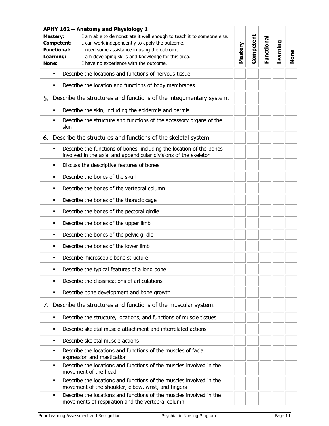| APHY 162 - Anatomy and Physiology 1 |                                       |                                                                                                                                                                                                                                                                                                                    |         |           |            |          |      |
|-------------------------------------|---------------------------------------|--------------------------------------------------------------------------------------------------------------------------------------------------------------------------------------------------------------------------------------------------------------------------------------------------------------------|---------|-----------|------------|----------|------|
|                                     | <b>Mastery:</b><br>Learning:<br>None: | I am able to demonstrate it well enough to teach it to someone else.<br>I can work independently to apply the outcome.<br><b>Competent:</b><br><b>Functional:</b><br>I need some assistance in using the outcome.<br>I am developing skills and knowledge for this area.<br>I have no experience with the outcome. | Mastery | Competent | Functional | Learning | None |
|                                     | ٠                                     | Describe the locations and functions of nervous tissue                                                                                                                                                                                                                                                             |         |           |            |          |      |
|                                     | ٠                                     | Describe the location and functions of body membranes                                                                                                                                                                                                                                                              |         |           |            |          |      |
| 5.                                  |                                       | Describe the structures and functions of the integumentary system.                                                                                                                                                                                                                                                 |         |           |            |          |      |
|                                     | $\blacksquare$                        | Describe the skin, including the epidermis and dermis                                                                                                                                                                                                                                                              |         |           |            |          |      |
|                                     |                                       | Describe the structure and functions of the accessory organs of the<br>skin                                                                                                                                                                                                                                        |         |           |            |          |      |
| 6.                                  |                                       | Describe the structures and functions of the skeletal system.                                                                                                                                                                                                                                                      |         |           |            |          |      |
|                                     | ٠                                     | Describe the functions of bones, including the location of the bones<br>involved in the axial and appendicular divisions of the skeleton                                                                                                                                                                           |         |           |            |          |      |
|                                     | $\blacksquare$                        | Discuss the descriptive features of bones                                                                                                                                                                                                                                                                          |         |           |            |          |      |
|                                     | ٠                                     | Describe the bones of the skull                                                                                                                                                                                                                                                                                    |         |           |            |          |      |
|                                     | ٠                                     | Describe the bones of the vertebral column                                                                                                                                                                                                                                                                         |         |           |            |          |      |
|                                     | ٠                                     | Describe the bones of the thoracic cage                                                                                                                                                                                                                                                                            |         |           |            |          |      |
|                                     | ٠                                     | Describe the bones of the pectoral girdle                                                                                                                                                                                                                                                                          |         |           |            |          |      |
|                                     | ٠                                     | Describe the bones of the upper limb                                                                                                                                                                                                                                                                               |         |           |            |          |      |
|                                     | ٠                                     | Describe the bones of the pelvic girdle                                                                                                                                                                                                                                                                            |         |           |            |          |      |
|                                     | ٠                                     | Describe the bones of the lower limb                                                                                                                                                                                                                                                                               |         |           |            |          |      |
|                                     | ٠                                     | Describe microscopic bone structure                                                                                                                                                                                                                                                                                |         |           |            |          |      |
|                                     | Ξ                                     | Describe the typical features of a long bone                                                                                                                                                                                                                                                                       |         |           |            |          |      |
|                                     | ٠                                     | Describe the classifications of articulations                                                                                                                                                                                                                                                                      |         |           |            |          |      |
|                                     | ٠                                     | Describe bone development and bone growth                                                                                                                                                                                                                                                                          |         |           |            |          |      |
| 7.                                  |                                       | Describe the structures and functions of the muscular system.                                                                                                                                                                                                                                                      |         |           |            |          |      |
|                                     | ٠                                     | Describe the structure, locations, and functions of muscle tissues                                                                                                                                                                                                                                                 |         |           |            |          |      |
|                                     | ٠                                     | Describe skeletal muscle attachment and interrelated actions                                                                                                                                                                                                                                                       |         |           |            |          |      |
|                                     | ٠                                     | Describe skeletal muscle actions                                                                                                                                                                                                                                                                                   |         |           |            |          |      |
|                                     | ٠                                     | Describe the locations and functions of the muscles of facial<br>expression and mastication                                                                                                                                                                                                                        |         |           |            |          |      |
|                                     | ٠                                     | Describe the locations and functions of the muscles involved in the<br>movement of the head                                                                                                                                                                                                                        |         |           |            |          |      |
|                                     | ٠                                     | Describe the locations and functions of the muscles involved in the<br>movement of the shoulder, elbow, wrist, and fingers                                                                                                                                                                                         |         |           |            |          |      |
|                                     | ٠                                     | Describe the locations and functions of the muscles involved in the<br>movements of respiration and the vertebral column                                                                                                                                                                                           |         |           |            |          |      |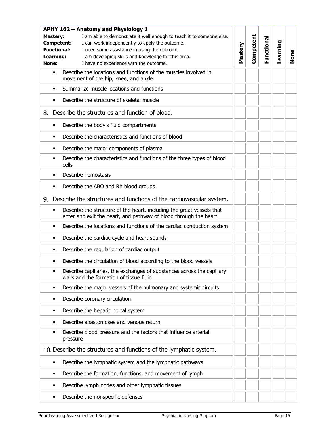|    | APHY 162 - Anatomy and Physiology 1                                                                                                                                                                                           |                                                                                                                                           |         |           |            |          |      |
|----|-------------------------------------------------------------------------------------------------------------------------------------------------------------------------------------------------------------------------------|-------------------------------------------------------------------------------------------------------------------------------------------|---------|-----------|------------|----------|------|
|    | I am able to demonstrate it well enough to teach it to someone else.<br><b>Mastery:</b><br>I can work independently to apply the outcome.<br>Competent:<br><b>Functional:</b><br>I need some assistance in using the outcome. |                                                                                                                                           | Mastery | Competent | Functional | Learning |      |
|    | Learning:<br>I am developing skills and knowledge for this area.<br>None:<br>I have no experience with the outcome.                                                                                                           |                                                                                                                                           |         |           |            |          | None |
|    | $\blacksquare$                                                                                                                                                                                                                | Describe the locations and functions of the muscles involved in                                                                           |         |           |            |          |      |
|    |                                                                                                                                                                                                                               | movement of the hip, knee, and ankle                                                                                                      |         |           |            |          |      |
|    | $\blacksquare$                                                                                                                                                                                                                | Summarize muscle locations and functions                                                                                                  |         |           |            |          |      |
|    | $\blacksquare$                                                                                                                                                                                                                | Describe the structure of skeletal muscle                                                                                                 |         |           |            |          |      |
| 8. |                                                                                                                                                                                                                               | Describe the structures and function of blood.                                                                                            |         |           |            |          |      |
|    | $\blacksquare$                                                                                                                                                                                                                | Describe the body's fluid compartments                                                                                                    |         |           |            |          |      |
|    | $\blacksquare$                                                                                                                                                                                                                | Describe the characteristics and functions of blood                                                                                       |         |           |            |          |      |
|    | ٠                                                                                                                                                                                                                             | Describe the major components of plasma                                                                                                   |         |           |            |          |      |
|    | $\blacksquare$                                                                                                                                                                                                                | Describe the characteristics and functions of the three types of blood<br>cells                                                           |         |           |            |          |      |
|    | $\blacksquare$                                                                                                                                                                                                                | Describe hemostasis                                                                                                                       |         |           |            |          |      |
|    | ٠                                                                                                                                                                                                                             | Describe the ABO and Rh blood groups                                                                                                      |         |           |            |          |      |
| 9. |                                                                                                                                                                                                                               | Describe the structures and functions of the cardiovascular system.                                                                       |         |           |            |          |      |
|    | $\blacksquare$                                                                                                                                                                                                                | Describe the structure of the heart, including the great vessels that<br>enter and exit the heart, and pathway of blood through the heart |         |           |            |          |      |
|    | $\blacksquare$                                                                                                                                                                                                                | Describe the locations and functions of the cardiac conduction system                                                                     |         |           |            |          |      |
|    | ٠                                                                                                                                                                                                                             | Describe the cardiac cycle and heart sounds                                                                                               |         |           |            |          |      |
|    | ٠                                                                                                                                                                                                                             | Describe the regulation of cardiac output                                                                                                 |         |           |            |          |      |
|    | $\blacksquare$                                                                                                                                                                                                                | Describe the circulation of blood according to the blood vessels                                                                          |         |           |            |          |      |
|    | $\blacksquare$                                                                                                                                                                                                                | Describe capillaries, the exchanges of substances across the capillary<br>walls and the formation of tissue fluid                         |         |           |            |          |      |
|    | ٠                                                                                                                                                                                                                             | Describe the major vessels of the pulmonary and systemic circuits                                                                         |         |           |            |          |      |
|    | ٠                                                                                                                                                                                                                             | Describe coronary circulation                                                                                                             |         |           |            |          |      |
|    | ٠                                                                                                                                                                                                                             | Describe the hepatic portal system                                                                                                        |         |           |            |          |      |
|    | ٠                                                                                                                                                                                                                             | Describe anastomoses and venous return                                                                                                    |         |           |            |          |      |
|    | ٠                                                                                                                                                                                                                             | Describe blood pressure and the factors that influence arterial<br>pressure                                                               |         |           |            |          |      |
|    |                                                                                                                                                                                                                               | 10. Describe the structures and functions of the lymphatic system.                                                                        |         |           |            |          |      |
|    | ٠                                                                                                                                                                                                                             | Describe the lymphatic system and the lymphatic pathways                                                                                  |         |           |            |          |      |
|    | ٠                                                                                                                                                                                                                             | Describe the formation, functions, and movement of lymph                                                                                  |         |           |            |          |      |
|    | $\blacksquare$                                                                                                                                                                                                                | Describe lymph nodes and other lymphatic tissues                                                                                          |         |           |            |          |      |
|    | ٠                                                                                                                                                                                                                             | Describe the nonspecific defenses                                                                                                         |         |           |            |          |      |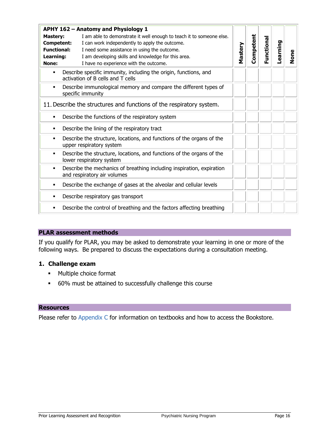|                                                                           | APHY 162 - Anatomy and Physiology 1                                                                                                                                                                                                                                     |         |           |           |          |      |
|---------------------------------------------------------------------------|-------------------------------------------------------------------------------------------------------------------------------------------------------------------------------------------------------------------------------------------------------------------------|---------|-----------|-----------|----------|------|
| <b>Mastery:</b><br>Competent:<br><b>Functional:</b><br>Learning:<br>None: | I am able to demonstrate it well enough to teach it to someone else.<br>I can work independently to apply the outcome.<br>I need some assistance in using the outcome.<br>I am developing skills and knowledge for this area.<br>I have no experience with the outcome. | Mastery | Competent | Functiona | Learning | None |
| ٠                                                                         | Describe specific immunity, including the origin, functions, and<br>activation of B cells and T cells                                                                                                                                                                   |         |           |           |          |      |
| ٠                                                                         | Describe immunological memory and compare the different types of<br>specific immunity                                                                                                                                                                                   |         |           |           |          |      |
|                                                                           | 11. Describe the structures and functions of the respiratory system.                                                                                                                                                                                                    |         |           |           |          |      |
| ٠                                                                         | Describe the functions of the respiratory system                                                                                                                                                                                                                        |         |           |           |          |      |
| ٠                                                                         | Describe the lining of the respiratory tract                                                                                                                                                                                                                            |         |           |           |          |      |
| ٠                                                                         | Describe the structure, locations, and functions of the organs of the<br>upper respiratory system                                                                                                                                                                       |         |           |           |          |      |
| ٠                                                                         | Describe the structure, locations, and functions of the organs of the<br>lower respiratory system                                                                                                                                                                       |         |           |           |          |      |
| ٠                                                                         | Describe the mechanics of breathing including inspiration, expiration<br>and respiratory air volumes                                                                                                                                                                    |         |           |           |          |      |
| ٠                                                                         | Describe the exchange of gases at the alveolar and cellular levels                                                                                                                                                                                                      |         |           |           |          |      |
| ٠                                                                         | Describe respiratory gas transport                                                                                                                                                                                                                                      |         |           |           |          |      |
| ٠                                                                         | Describe the control of breathing and the factors affecting breathing                                                                                                                                                                                                   |         |           |           |          |      |

If you qualify for PLAR, you may be asked to demonstrate your learning in one or more of the following ways. Be prepared to discuss the expectations during a consultation meeting.

### **1. Challenge exam**

- **Multiple choice format**
- 60% must be attained to successfully challenge this course

#### **Resources**

Please refer to [Appendix C](#page-35-1) for information on textbooks and how to access the Bookstore.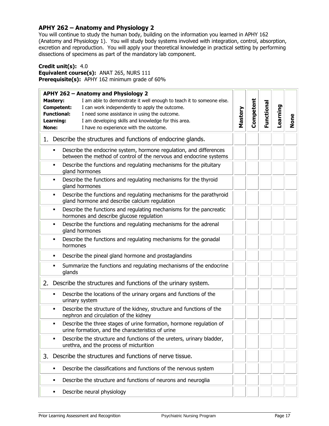## <span id="page-16-1"></span><span id="page-16-0"></span>**APHY 262 – Anatomy and Physiology 2**

You will continue to study the human body, building on the information you learned in APHY 162 (Anatomy and Physiology 1). You will study body systems involved with integration, control, absorption, excretion and reproduction. You will apply your theoretical knowledge in practical setting by performing dissections of specimens as part of the mandatory lab component.

#### **Credit unit(s):** 4.0

**Equivalent course(s):** ANAT 265, NURS 111 **Prerequisite(s):** APHY 162 minimum grade of 60%

| APHY 262 - Anatomy and Physiology 2                                                                                                                                                                                                                                                                                                                         |         |           |            |          |      |
|-------------------------------------------------------------------------------------------------------------------------------------------------------------------------------------------------------------------------------------------------------------------------------------------------------------------------------------------------------------|---------|-----------|------------|----------|------|
| I am able to demonstrate it well enough to teach it to someone else.<br><b>Mastery:</b><br><b>Competent:</b><br>I can work independently to apply the outcome.<br><b>Functional:</b><br>I need some assistance in using the outcome.<br>I am developing skills and knowledge for this area.<br>Learning:<br>I have no experience with the outcome.<br>None: | Mastery | Competent | Functional | Learning | None |
| 1. Describe the structures and functions of endocrine glands.                                                                                                                                                                                                                                                                                               |         |           |            |          |      |
| Describe the endocrine system, hormone regulation, and differences<br>$\blacksquare$<br>between the method of control of the nervous and endocrine systems                                                                                                                                                                                                  |         |           |            |          |      |
| Describe the functions and regulating mechanisms for the pituitary<br>$\blacksquare$<br>gland hormones                                                                                                                                                                                                                                                      |         |           |            |          |      |
| Describe the functions and regulating mechanisms for the thyroid<br>٠<br>gland hormones                                                                                                                                                                                                                                                                     |         |           |            |          |      |
| Describe the functions and regulating mechanisms for the parathyroid<br>$\blacksquare$<br>gland hormone and describe calcium regulation                                                                                                                                                                                                                     |         |           |            |          |      |
| Describe the functions and regulating mechanisms for the pancreatic<br>$\blacksquare$<br>hormones and describe glucose regulation                                                                                                                                                                                                                           |         |           |            |          |      |
| Describe the functions and regulating mechanisms for the adrenal<br>$\blacksquare$<br>gland hormones                                                                                                                                                                                                                                                        |         |           |            |          |      |
| Describe the functions and regulating mechanisms for the gonadal<br>$\blacksquare$<br>hormones                                                                                                                                                                                                                                                              |         |           |            |          |      |
| Describe the pineal gland hormone and prostaglandins<br>$\blacksquare$                                                                                                                                                                                                                                                                                      |         |           |            |          |      |
| Summarize the functions and regulating mechanisms of the endocrine<br>٠<br>glands                                                                                                                                                                                                                                                                           |         |           |            |          |      |
| Describe the structures and functions of the urinary system.<br>2.                                                                                                                                                                                                                                                                                          |         |           |            |          |      |
| Describe the locations of the urinary organs and functions of the<br>$\blacksquare$<br>urinary system                                                                                                                                                                                                                                                       |         |           |            |          |      |
| Describe the structure of the kidney, structure and functions of the<br>٠<br>nephron and circulation of the kidney                                                                                                                                                                                                                                          |         |           |            |          |      |
| Describe the three stages of urine formation, hormone regulation of<br>$\blacksquare$<br>urine formation, and the characteristics of urine                                                                                                                                                                                                                  |         |           |            |          |      |
| Describe the structure and functions of the ureters, urinary bladder,<br>$\blacksquare$<br>urethra, and the process of micturition                                                                                                                                                                                                                          |         |           |            |          |      |
| Describe the structures and functions of nerve tissue.<br>3.                                                                                                                                                                                                                                                                                                |         |           |            |          |      |
| Describe the classifications and functions of the nervous system<br>$\blacksquare$                                                                                                                                                                                                                                                                          |         |           |            |          |      |
| Describe the structure and functions of neurons and neuroglia<br>٠                                                                                                                                                                                                                                                                                          |         |           |            |          |      |
| Describe neural physiology<br>٠                                                                                                                                                                                                                                                                                                                             |         |           |            |          |      |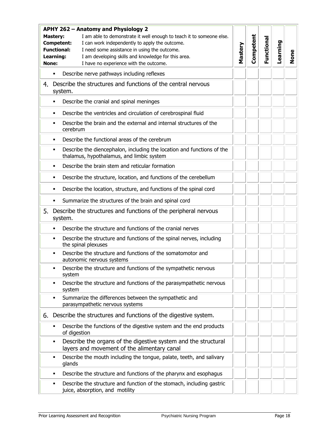|    | <b>APHY 262 - Anatomy and Physiology 2</b>                                                                                                |                                                                                                                     |         |           |            |          |             |
|----|-------------------------------------------------------------------------------------------------------------------------------------------|---------------------------------------------------------------------------------------------------------------------|---------|-----------|------------|----------|-------------|
|    | I am able to demonstrate it well enough to teach it to someone else.<br><b>Mastery:</b><br>I can work independently to apply the outcome. |                                                                                                                     |         | Competent |            |          |             |
|    | <b>Competent:</b><br><b>Functional:</b><br>I need some assistance in using the outcome.                                                   |                                                                                                                     |         |           | Functional | Learning |             |
|    |                                                                                                                                           |                                                                                                                     | Mastery |           |            |          |             |
|    | Learning:<br>None:                                                                                                                        | I am developing skills and knowledge for this area.<br>I have no experience with the outcome.                       |         |           |            |          | <b>None</b> |
|    |                                                                                                                                           |                                                                                                                     |         |           |            |          |             |
|    | $\blacksquare$                                                                                                                            | Describe nerve pathways including reflexes                                                                          |         |           |            |          |             |
| 4. |                                                                                                                                           | Describe the structures and functions of the central nervous<br>system.                                             |         |           |            |          |             |
|    | $\blacksquare$                                                                                                                            | Describe the cranial and spinal meninges                                                                            |         |           |            |          |             |
|    | $\blacksquare$                                                                                                                            | Describe the ventricles and circulation of cerebrospinal fluid                                                      |         |           |            |          |             |
|    | ٠                                                                                                                                         | Describe the brain and the external and internal structures of the<br>cerebrum                                      |         |           |            |          |             |
|    | $\blacksquare$                                                                                                                            | Describe the functional areas of the cerebrum                                                                       |         |           |            |          |             |
|    | $\blacksquare$                                                                                                                            | Describe the diencephalon, including the location and functions of the<br>thalamus, hypothalamus, and limbic system |         |           |            |          |             |
|    | $\blacksquare$                                                                                                                            | Describe the brain stem and reticular formation                                                                     |         |           |            |          |             |
|    | $\blacksquare$                                                                                                                            | Describe the structure, location, and functions of the cerebellum                                                   |         |           |            |          |             |
|    | $\blacksquare$                                                                                                                            | Describe the location, structure, and functions of the spinal cord                                                  |         |           |            |          |             |
|    | $\blacksquare$                                                                                                                            | Summarize the structures of the brain and spinal cord                                                               |         |           |            |          |             |
| 5. |                                                                                                                                           | Describe the structures and functions of the peripheral nervous<br>system.                                          |         |           |            |          |             |
|    | ٠                                                                                                                                         | Describe the structure and functions of the cranial nerves                                                          |         |           |            |          |             |
|    | ٠                                                                                                                                         | Describe the structure and functions of the spinal nerves, including<br>the spinal plexuses                         |         |           |            |          |             |
|    | $\blacksquare$                                                                                                                            | Describe the structure and functions of the somatomotor and<br>autonomic nervous systems                            |         |           |            |          |             |
|    | $\blacksquare$                                                                                                                            | Describe the structure and functions of the sympathetic nervous<br>system                                           |         |           |            |          |             |
|    | п                                                                                                                                         | Describe the structure and functions of the parasympathetic nervous<br>system                                       |         |           |            |          |             |
|    | П                                                                                                                                         | Summarize the differences between the sympathetic and<br>parasympathetic nervous systems                            |         |           |            |          |             |
| 6. |                                                                                                                                           | Describe the structures and functions of the digestive system.                                                      |         |           |            |          |             |
|    | ٠                                                                                                                                         | Describe the functions of the digestive system and the end products<br>of digestion                                 |         |           |            |          |             |
|    | $\blacksquare$                                                                                                                            | Describe the organs of the digestive system and the structural<br>layers and movement of the alimentary canal       |         |           |            |          |             |
|    | ٠                                                                                                                                         | Describe the mouth including the tongue, palate, teeth, and salivary<br>glands                                      |         |           |            |          |             |
|    | ٠                                                                                                                                         | Describe the structure and functions of the pharynx and esophagus                                                   |         |           |            |          |             |
|    | ٠                                                                                                                                         | Describe the structure and function of the stomach, including gastric<br>juice, absorption, and motility            |         |           |            |          |             |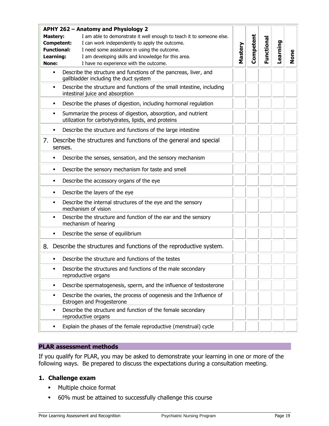| APHY 262 - Anatomy and Physiology 2<br>I am able to demonstrate it well enough to teach it to someone else.<br><b>Mastery:</b><br>I can work independently to apply the outcome.<br>Competent:<br><b>Functional:</b><br>I need some assistance in using the outcome.<br>Learning:<br>I am developing skills and knowledge for this area.<br>I have no experience with the outcome.<br>None: | Mastery | Competent | Functional | Learning | None |
|---------------------------------------------------------------------------------------------------------------------------------------------------------------------------------------------------------------------------------------------------------------------------------------------------------------------------------------------------------------------------------------------|---------|-----------|------------|----------|------|
| Describe the structure and functions of the pancreas, liver, and<br>٠<br>gallbladder including the duct system                                                                                                                                                                                                                                                                              |         |           |            |          |      |
| Describe the structure and functions of the small intestine, including<br>٠<br>intestinal juice and absorption                                                                                                                                                                                                                                                                              |         |           |            |          |      |
| Describe the phases of digestion, including hormonal regulation<br>٠                                                                                                                                                                                                                                                                                                                        |         |           |            |          |      |
| Summarize the process of digestion, absorption, and nutrient<br>٠<br>utilization for carbohydrates, lipids, and proteins                                                                                                                                                                                                                                                                    |         |           |            |          |      |
| Describe the structure and functions of the large intestine<br>٠                                                                                                                                                                                                                                                                                                                            |         |           |            |          |      |
| 7. Describe the structures and functions of the general and special<br>senses.                                                                                                                                                                                                                                                                                                              |         |           |            |          |      |
| Describe the senses, sensation, and the sensory mechanism<br>٠                                                                                                                                                                                                                                                                                                                              |         |           |            |          |      |
| Describe the sensory mechanism for taste and smell<br>٠                                                                                                                                                                                                                                                                                                                                     |         |           |            |          |      |
| Describe the accessory organs of the eye<br>٠                                                                                                                                                                                                                                                                                                                                               |         |           |            |          |      |
| Describe the layers of the eye<br>٠                                                                                                                                                                                                                                                                                                                                                         |         |           |            |          |      |
| Describe the internal structures of the eye and the sensory<br>٠<br>mechanism of vision                                                                                                                                                                                                                                                                                                     |         |           |            |          |      |
| Describe the structure and function of the ear and the sensory<br>mechanism of hearing                                                                                                                                                                                                                                                                                                      |         |           |            |          |      |
| Describe the sense of equilibrium<br>٠                                                                                                                                                                                                                                                                                                                                                      |         |           |            |          |      |
| 8. Describe the structures and functions of the reproductive system.                                                                                                                                                                                                                                                                                                                        |         |           |            |          |      |
| Describe the structure and functions of the testes                                                                                                                                                                                                                                                                                                                                          |         |           |            |          |      |
| Describe the structures and functions of the male secondary<br>reproductive organs                                                                                                                                                                                                                                                                                                          |         |           |            |          |      |
| Describe spermatogenesis, sperm, and the influence of testosterone<br>٠                                                                                                                                                                                                                                                                                                                     |         |           |            |          |      |
| Describe the ovaries, the process of oogenesis and the Influence of<br>٠<br>Estrogen and Progesterone                                                                                                                                                                                                                                                                                       |         |           |            |          |      |
| Describe the structure and function of the female secondary<br>٠<br>reproductive organs                                                                                                                                                                                                                                                                                                     |         |           |            |          |      |
| Explain the phases of the female reproductive (menstrual) cycle<br>٠                                                                                                                                                                                                                                                                                                                        |         |           |            |          |      |

If you qualify for PLAR, you may be asked to demonstrate your learning in one or more of the following ways. Be prepared to discuss the expectations during a consultation meeting.

# **1. Challenge exam**

- **•** Multiple choice format
- 60% must be attained to successfully challenge this course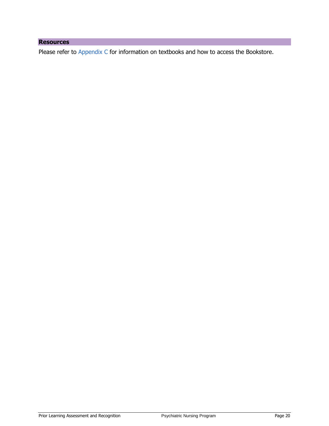# **Resources**

Please refer to [Appendix C](#page-35-1) for information on textbooks and how to access the Bookstore.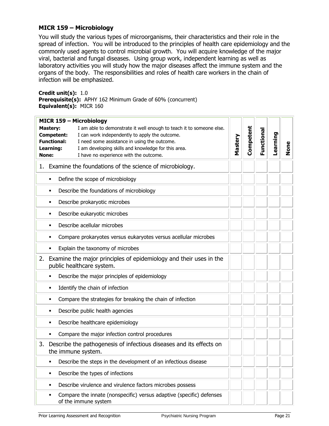# <span id="page-20-1"></span>**MICR 159 – Microbiology**

You will study the various types of microorganisms, their characteristics and their role in the spread of infection. You will be introduced to the principles of health care epidemiology and the commonly used agents to control microbial growth. You will acquire knowledge of the major viral, bacterial and fungal diseases. Using group work, independent learning as well as laboratory activities you will study how the major diseases affect the immune system and the organs of the body. The responsibilities and roles of health care workers in the chain of infection will be emphasized.

<span id="page-20-0"></span>**Credit unit(s):** 1.0 **Prerequisite(s):** APHY 162 Minimum Grade of 60% (concurrent) **Equivalent(s):** MICR 160

|    | <b>MICR 159 - Microbiology</b>                                                                    |         |           |            |          |      |
|----|---------------------------------------------------------------------------------------------------|---------|-----------|------------|----------|------|
|    | I am able to demonstrate it well enough to teach it to someone else.<br><b>Mastery:</b>           |         |           |            |          |      |
|    | <b>Competent:</b><br>I can work independently to apply the outcome.                               |         | Competent | Functional | Learning |      |
|    | <b>Functional:</b><br>I need some assistance in using the outcome.                                | Mastery |           |            |          |      |
|    | I am developing skills and knowledge for this area.<br>Learning:                                  |         |           |            |          | None |
|    | I have no experience with the outcome.<br>None:                                                   |         |           |            |          |      |
| 1. | Examine the foundations of the science of microbiology.                                           |         |           |            |          |      |
|    | Define the scope of microbiology<br>$\blacksquare$                                                |         |           |            |          |      |
|    | Describe the foundations of microbiology<br>٠                                                     |         |           |            |          |      |
|    | Describe prokaryotic microbes<br>٠                                                                |         |           |            |          |      |
|    | Describe eukaryotic microbes<br>٠                                                                 |         |           |            |          |      |
|    | Describe acellular microbes<br>٠                                                                  |         |           |            |          |      |
|    | Compare prokaryotes versus eukaryotes versus acellular microbes<br>٠                              |         |           |            |          |      |
|    | Explain the taxonomy of microbes                                                                  |         |           |            |          |      |
| 2. | Examine the major principles of epidemiology and their uses in the<br>public healthcare system.   |         |           |            |          |      |
|    | Describe the major principles of epidemiology<br>٠                                                |         |           |            |          |      |
|    | Identify the chain of infection<br>٠                                                              |         |           |            |          |      |
|    | Compare the strategies for breaking the chain of infection<br>٠                                   |         |           |            |          |      |
|    | Describe public health agencies<br>٠                                                              |         |           |            |          |      |
|    | Describe healthcare epidemiology<br>٠                                                             |         |           |            |          |      |
|    | Compare the major infection control procedures                                                    |         |           |            |          |      |
| 3. | Describe the pathogenesis of infectious diseases and its effects on<br>the immune system.         |         |           |            |          |      |
|    | Describe the steps in the development of an infectious disease<br>٠                               |         |           |            |          |      |
|    | Describe the types of infections<br>٠                                                             |         |           |            |          |      |
|    | Describe virulence and virulence factors microbes possess<br>٠                                    |         |           |            |          |      |
|    | Compare the innate (nonspecific) versus adaptive (specific) defenses<br>٠<br>of the immune system |         |           |            |          |      |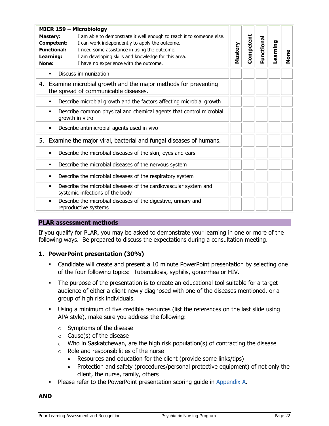| <b>MICR 159 - Microbiology</b><br>I am able to demonstrate it well enough to teach it to someone else.<br><b>Mastery:</b><br><b>Competent:</b><br>I can work independently to apply the outcome.<br><b>Functional:</b><br>I need some assistance in using the outcome.<br>I am developing skills and knowledge for this area.<br>Learning:<br>None:<br>I have no experience with the outcome. |                                                                                                          | Mastery | Competent | Functional | Learning | None |
|-----------------------------------------------------------------------------------------------------------------------------------------------------------------------------------------------------------------------------------------------------------------------------------------------------------------------------------------------------------------------------------------------|----------------------------------------------------------------------------------------------------------|---------|-----------|------------|----------|------|
| ٠                                                                                                                                                                                                                                                                                                                                                                                             | Discuss immunization                                                                                     |         |           |            |          |      |
|                                                                                                                                                                                                                                                                                                                                                                                               | 4. Examine microbial growth and the major methods for preventing<br>the spread of communicable diseases. |         |           |            |          |      |
| ٠                                                                                                                                                                                                                                                                                                                                                                                             | Describe microbial growth and the factors affecting microbial growth                                     |         |           |            |          |      |
| ٠                                                                                                                                                                                                                                                                                                                                                                                             | Describe common physical and chemical agents that control microbial<br>growth in vitro                   |         |           |            |          |      |
| ٠                                                                                                                                                                                                                                                                                                                                                                                             | Describe antimicrobial agents used in vivo                                                               |         |           |            |          |      |
|                                                                                                                                                                                                                                                                                                                                                                                               | 5. Examine the major viral, bacterial and fungal diseases of humans.                                     |         |           |            |          |      |
|                                                                                                                                                                                                                                                                                                                                                                                               | Describe the microbial diseases of the skin, eyes and ears                                               |         |           |            |          |      |
| ٠                                                                                                                                                                                                                                                                                                                                                                                             | Describe the microbial diseases of the nervous system                                                    |         |           |            |          |      |
| ٠                                                                                                                                                                                                                                                                                                                                                                                             | Describe the microbial diseases of the respiratory system                                                |         |           |            |          |      |
| ٠                                                                                                                                                                                                                                                                                                                                                                                             | Describe the microbial diseases of the cardiovascular system and<br>systemic infections of the body      |         |           |            |          |      |
| ٠                                                                                                                                                                                                                                                                                                                                                                                             | Describe the microbial diseases of the digestive, urinary and<br>reproductive systems                    |         |           |            |          |      |

If you qualify for PLAR, you may be asked to demonstrate your learning in one or more of the following ways. Be prepared to discuss the expectations during a consultation meeting.

#### **1. PowerPoint presentation (30%)**

- Candidate will create and present a 10 minute PowerPoint presentation by selecting one of the four following topics: Tuberculosis, syphilis, gonorrhea or HIV.
- The purpose of the presentation is to create an educational tool suitable for a target audience of either a client newly diagnosed with one of the diseases mentioned, or a group of high risk individuals.
- Using a minimum of five credible resources (list the references on the last slide using APA style), make sure you address the following:
	- o Symptoms of the disease
	- $\circ$  Cause(s) of the disease
	- $\circ$  Who in Saskatchewan, are the high risk population(s) of contracting the disease
	- $\circ$  Role and responsibilities of the nurse
		- Resources and education for the client (provide some links/tips)
		- Protection and safety (procedures/personal protective equipment) of not only the client, the nurse, family, others
- Please refer to the PowerPoint presentation scoring guide in [Appendix A.](#page-30-2)

**AND**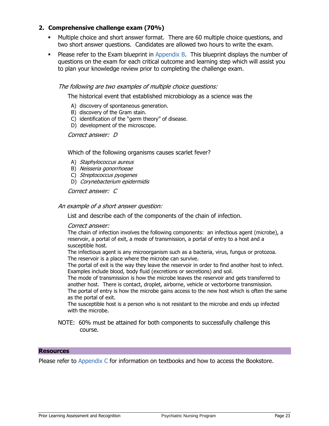## **2. Comprehensive challenge exam (70%)**

- Multiple choice and short answer format. There are 60 multiple choice questions, and two short answer questions. Candidates are allowed two hours to write the exam.
- **Please refer to the Exam blueprint in [Appendix B.](#page-32-1) This blueprint displays the number of** questions on the exam for each critical outcome and learning step which will assist you to plan your knowledge review prior to completing the challenge exam.

#### The following are two examples of multiple choice questions:

The historical event that established microbiology as a science was the

- A) discovery of spontaneous generation.
- B) discovery of the Gram stain.
- C) identification of the "germ theory" of disease.
- D) development of the microscope.

Correct answer: D

Which of the following organisms causes scarlet fever?

- A) Staphylococcus aureus
- B) Neisseria gonorrhoeae
- C) Streptococcus pyogenes
- D) Corynebacterium epidermidis

Correct answer: C

#### An example of a short answer question:

List and describe each of the components of the chain of infection.

#### Correct answer:

The chain of infection involves the following components: an infectious agent (microbe), a reservoir, a portal of exit, a mode of transmission, a portal of entry to a host and a susceptible host.

The infectious agent is any microorganism such as a bacteria, virus, fungus or protozoa. The reservoir is a place where the microbe can survive.

The portal of exit is the way they leave the reservoir in order to find another host to infect. Examples include blood, body fluid (excretions or secretions) and soil.

The mode of transmission is how the microbe leaves the reservoir and gets transferred to another host. There is contact, droplet, airborne, vehicle or vectorborne transmission. The portal of entry is how the microbe gains access to the new host which is often the same as the portal of exit.

The susceptible host is a person who is not resistant to the microbe and ends up infected with the microbe.

NOTE: 60% must be attained for both components to successfully challenge this course.

#### **Resources**

Please refer to [Appendix C](#page-35-1) for information on textbooks and how to access the Bookstore.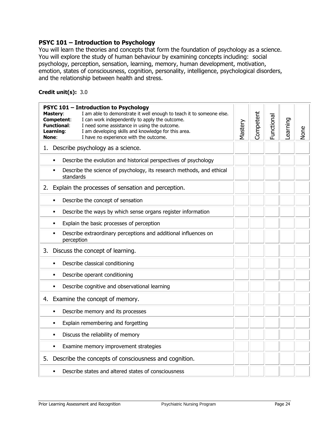#### <span id="page-23-0"></span>**PSYC 101 – Introduction to Psychology**

You will learn the theories and concepts that form the foundation of psychology as a science. You will explore the study of human behaviour by examining concepts including: social psychology, perception, sensation, learning, memory, human development, motivation, emotion, states of consciousness, cognition, personality, intelligence, psychological disorders, and the relationship between health and stress.

### **Credit unit(s):** 3.0

| <b>PSYC 101 - Introduction to Psychology</b><br>I am able to demonstrate it well enough to teach it to someone else.<br><b>Mastery:</b><br>I can work independently to apply the outcome.<br>Competent:<br><b>Functional:</b><br>I need some assistance in using the outcome.<br>Learning:<br>I am developing skills and knowledge for this area.<br>I have no experience with the outcome.<br>None: |  |  | Functional | Learning | None |
|------------------------------------------------------------------------------------------------------------------------------------------------------------------------------------------------------------------------------------------------------------------------------------------------------------------------------------------------------------------------------------------------------|--|--|------------|----------|------|
| 1. Describe psychology as a science.                                                                                                                                                                                                                                                                                                                                                                 |  |  |            |          |      |
| Describe the evolution and historical perspectives of psychology<br>$\blacksquare$                                                                                                                                                                                                                                                                                                                   |  |  |            |          |      |
| Describe the science of psychology, its research methods, and ethical<br>$\blacksquare$<br>standards                                                                                                                                                                                                                                                                                                 |  |  |            |          |      |
| 2. Explain the processes of sensation and perception.                                                                                                                                                                                                                                                                                                                                                |  |  |            |          |      |
| Describe the concept of sensation<br>$\blacksquare$                                                                                                                                                                                                                                                                                                                                                  |  |  |            |          |      |
| Describe the ways by which sense organs register information<br>$\blacksquare$                                                                                                                                                                                                                                                                                                                       |  |  |            |          |      |
| Explain the basic processes of perception<br>$\blacksquare$                                                                                                                                                                                                                                                                                                                                          |  |  |            |          |      |
| Describe extraordinary perceptions and additional influences on<br>٠<br>perception                                                                                                                                                                                                                                                                                                                   |  |  |            |          |      |
| Discuss the concept of learning.<br>3.                                                                                                                                                                                                                                                                                                                                                               |  |  |            |          |      |
| Describe classical conditioning<br>$\blacksquare$                                                                                                                                                                                                                                                                                                                                                    |  |  |            |          |      |
| Describe operant conditioning<br>٠                                                                                                                                                                                                                                                                                                                                                                   |  |  |            |          |      |
| Describe cognitive and observational learning                                                                                                                                                                                                                                                                                                                                                        |  |  |            |          |      |
| Examine the concept of memory.<br>4.                                                                                                                                                                                                                                                                                                                                                                 |  |  |            |          |      |
| Describe memory and its processes<br>$\blacksquare$                                                                                                                                                                                                                                                                                                                                                  |  |  |            |          |      |
| Explain remembering and forgetting<br>$\blacksquare$                                                                                                                                                                                                                                                                                                                                                 |  |  |            |          |      |
| Discuss the reliability of memory<br>٠                                                                                                                                                                                                                                                                                                                                                               |  |  |            |          |      |
| Examine memory improvement strategies<br>$\blacksquare$                                                                                                                                                                                                                                                                                                                                              |  |  |            |          |      |
| Describe the concepts of consciousness and cognition.<br>5.                                                                                                                                                                                                                                                                                                                                          |  |  |            |          |      |
| Describe states and altered states of consciousness                                                                                                                                                                                                                                                                                                                                                  |  |  |            |          |      |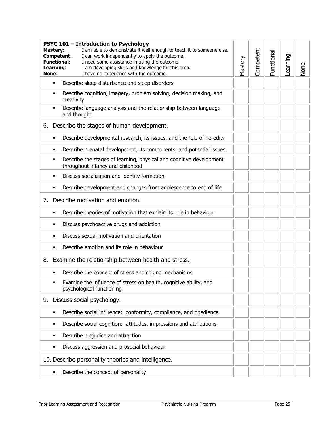|    | <b>PSYC 101 - Introduction to Psychology</b><br>I am able to demonstrate it well enough to teach it to someone else.<br><b>Mastery:</b><br>I can work independently to apply the outcome.<br>Competent:<br><b>Functional:</b><br>I need some assistance in using the outcome.<br>Learning:<br>I am developing skills and knowledge for this area.<br>None:<br>I have no experience with the outcome. |                                                                                                         | Mastery | Competent | Functional | Learning | None |
|----|------------------------------------------------------------------------------------------------------------------------------------------------------------------------------------------------------------------------------------------------------------------------------------------------------------------------------------------------------------------------------------------------------|---------------------------------------------------------------------------------------------------------|---------|-----------|------------|----------|------|
|    | ٠                                                                                                                                                                                                                                                                                                                                                                                                    | Describe sleep disturbance and sleep disorders                                                          |         |           |            |          |      |
|    | ٠                                                                                                                                                                                                                                                                                                                                                                                                    | Describe cognition, imagery, problem solving, decision making, and<br>creativity                        |         |           |            |          |      |
|    | ٠                                                                                                                                                                                                                                                                                                                                                                                                    | Describe language analysis and the relationship between language<br>and thought                         |         |           |            |          |      |
| 6. |                                                                                                                                                                                                                                                                                                                                                                                                      | Describe the stages of human development.                                                               |         |           |            |          |      |
|    | ٠                                                                                                                                                                                                                                                                                                                                                                                                    | Describe developmental research, its issues, and the role of heredity                                   |         |           |            |          |      |
|    | ٠                                                                                                                                                                                                                                                                                                                                                                                                    | Describe prenatal development, its components, and potential issues                                     |         |           |            |          |      |
|    | ٠                                                                                                                                                                                                                                                                                                                                                                                                    | Describe the stages of learning, physical and cognitive development<br>throughout infancy and childhood |         |           |            |          |      |
|    | ٠                                                                                                                                                                                                                                                                                                                                                                                                    | Discuss socialization and identity formation                                                            |         |           |            |          |      |
|    | ٠                                                                                                                                                                                                                                                                                                                                                                                                    | Describe development and changes from adolescence to end of life                                        |         |           |            |          |      |
| 7. |                                                                                                                                                                                                                                                                                                                                                                                                      | Describe motivation and emotion.                                                                        |         |           |            |          |      |
|    | ٠                                                                                                                                                                                                                                                                                                                                                                                                    | Describe theories of motivation that explain its role in behaviour                                      |         |           |            |          |      |
|    | ٠                                                                                                                                                                                                                                                                                                                                                                                                    | Discuss psychoactive drugs and addiction                                                                |         |           |            |          |      |
|    |                                                                                                                                                                                                                                                                                                                                                                                                      | Discuss sexual motivation and orientation                                                               |         |           |            |          |      |
|    | ٠                                                                                                                                                                                                                                                                                                                                                                                                    | Describe emotion and its role in behaviour                                                              |         |           |            |          |      |
| 8. |                                                                                                                                                                                                                                                                                                                                                                                                      | Examine the relationship between health and stress.                                                     |         |           |            |          |      |
|    | ٠                                                                                                                                                                                                                                                                                                                                                                                                    | Describe the concept of stress and coping mechanisms                                                    |         |           |            |          |      |
|    | ٠                                                                                                                                                                                                                                                                                                                                                                                                    | Examine the influence of stress on health, cognitive ability, and<br>psychological functioning          |         |           |            |          |      |
| 9. |                                                                                                                                                                                                                                                                                                                                                                                                      | Discuss social psychology.                                                                              |         |           |            |          |      |
|    | ٠                                                                                                                                                                                                                                                                                                                                                                                                    | Describe social influence: conformity, compliance, and obedience                                        |         |           |            |          |      |
|    | ٠                                                                                                                                                                                                                                                                                                                                                                                                    | Describe social cognition: attitudes, impressions and attributions                                      |         |           |            |          |      |
|    | ٠                                                                                                                                                                                                                                                                                                                                                                                                    | Describe prejudice and attraction                                                                       |         |           |            |          |      |
|    | ٠                                                                                                                                                                                                                                                                                                                                                                                                    | Discuss aggression and prosocial behaviour                                                              |         |           |            |          |      |
|    |                                                                                                                                                                                                                                                                                                                                                                                                      | 10. Describe personality theories and intelligence.                                                     |         |           |            |          |      |
|    | ٠                                                                                                                                                                                                                                                                                                                                                                                                    | Describe the concept of personality                                                                     |         |           |            |          |      |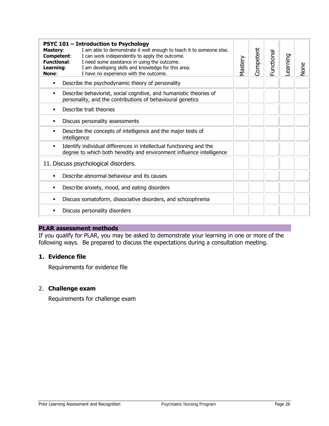| None |
|------|
|      |
|      |
|      |
|      |
|      |
|      |
|      |
|      |
|      |
|      |
|      |
|      |

If you qualify for PLAR, you may be asked to demonstrate your learning in one or more of the following ways. Be prepared to discuss the expectations during a consultation meeting.

# **1. Evidence file**

Requirements for evidence file

#### 2. **Challenge exam**

Requirements for challenge exam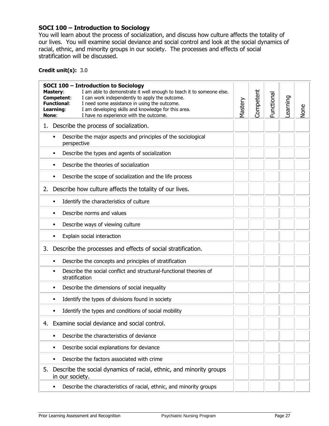# <span id="page-26-1"></span><span id="page-26-0"></span>**SOCI 100 – Introduction to Sociology**

You will learn about the process of socialization, and discuss how culture affects the totality of our lives. You will examine social deviance and social control and look at the social dynamics of racial, ethnic, and minority groups in our society. The processes and effects of social stratification will be discussed.

#### **Credit unit(s):** 3.0

|    | SOCI 100 - Introduction to Sociology<br>I am able to demonstrate it well enough to teach it to someone else.<br><b>Mastery:</b><br>Competent:<br>I can work independently to apply the outcome.<br><b>Functional:</b><br>I need some assistance in using the outcome.<br>Learning:<br>I am developing skills and knowledge for this area.<br>I have no experience with the outcome.<br>None: |  | Competent | Functional | Learning | None |
|----|----------------------------------------------------------------------------------------------------------------------------------------------------------------------------------------------------------------------------------------------------------------------------------------------------------------------------------------------------------------------------------------------|--|-----------|------------|----------|------|
| 1. | Describe the process of socialization.                                                                                                                                                                                                                                                                                                                                                       |  |           |            |          |      |
|    | Describe the major aspects and principles of the sociological<br>$\blacksquare$<br>perspective                                                                                                                                                                                                                                                                                               |  |           |            |          |      |
|    | Describe the types and agents of socialization<br>٠                                                                                                                                                                                                                                                                                                                                          |  |           |            |          |      |
|    | Describe the theories of socialization<br>٠                                                                                                                                                                                                                                                                                                                                                  |  |           |            |          |      |
|    | Describe the scope of socialization and the life process<br>٠                                                                                                                                                                                                                                                                                                                                |  |           |            |          |      |
| 2. | Describe how culture affects the totality of our lives.                                                                                                                                                                                                                                                                                                                                      |  |           |            |          |      |
|    | Identify the characteristics of culture<br>٠                                                                                                                                                                                                                                                                                                                                                 |  |           |            |          |      |
|    | Describe norms and values<br>٠                                                                                                                                                                                                                                                                                                                                                               |  |           |            |          |      |
|    | Describe ways of viewing culture<br>٠                                                                                                                                                                                                                                                                                                                                                        |  |           |            |          |      |
|    | Explain social interaction<br>٠                                                                                                                                                                                                                                                                                                                                                              |  |           |            |          |      |
| 3. | Describe the processes and effects of social stratification.                                                                                                                                                                                                                                                                                                                                 |  |           |            |          |      |
|    | Describe the concepts and principles of stratification<br>٠                                                                                                                                                                                                                                                                                                                                  |  |           |            |          |      |
|    | Describe the social conflict and structural-functional theories of<br>٠<br>stratification                                                                                                                                                                                                                                                                                                    |  |           |            |          |      |
|    | Describe the dimensions of social inequality<br>٠                                                                                                                                                                                                                                                                                                                                            |  |           |            |          |      |
|    | Identify the types of divisions found in society<br>٠                                                                                                                                                                                                                                                                                                                                        |  |           |            |          |      |
|    | Identify the types and conditions of social mobility                                                                                                                                                                                                                                                                                                                                         |  |           |            |          |      |
|    | Examine social deviance and social control.                                                                                                                                                                                                                                                                                                                                                  |  |           |            |          |      |
|    | Describe the characteristics of deviance<br>٠                                                                                                                                                                                                                                                                                                                                                |  |           |            |          |      |
|    | Describe social explanations for deviance<br>٠                                                                                                                                                                                                                                                                                                                                               |  |           |            |          |      |
|    | Describe the factors associated with crime<br>٠                                                                                                                                                                                                                                                                                                                                              |  |           |            |          |      |
| 5. | Describe the social dynamics of racial, ethnic, and minority groups<br>in our society.                                                                                                                                                                                                                                                                                                       |  |           |            |          |      |
|    | Describe the characteristics of racial, ethnic, and minority groups<br>٠                                                                                                                                                                                                                                                                                                                     |  |           |            |          |      |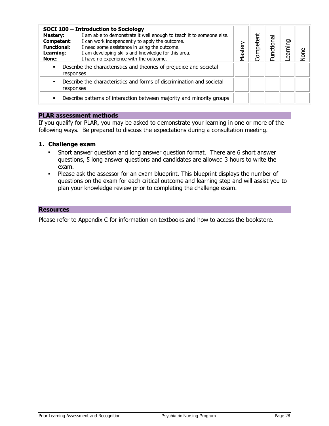| <b>Mastery:</b><br>Competent:<br><b>Functional:</b><br>Learning:<br>None:             | SOCI 100 - Introduction to Sociology<br>I am able to demonstrate it well enough to teach it to someone else.<br>I can work independently to apply the outcome.<br>I need some assistance in using the outcome.<br>I am developing skills and knowledge for this area.<br>I have no experience with the outcome. | Master | <b>Jompetent</b> | <b>Functional</b> | earning | None |
|---------------------------------------------------------------------------------------|-----------------------------------------------------------------------------------------------------------------------------------------------------------------------------------------------------------------------------------------------------------------------------------------------------------------|--------|------------------|-------------------|---------|------|
| Describe the characteristics and theories of prejudice and societal<br>٠<br>responses |                                                                                                                                                                                                                                                                                                                 |        |                  |                   |         |      |
| responses                                                                             | Describe the characteristics and forms of discrimination and societal                                                                                                                                                                                                                                           |        |                  |                   |         |      |
|                                                                                       | Describe patterns of interaction between majority and minority groups                                                                                                                                                                                                                                           |        |                  |                   |         |      |

If you qualify for PLAR, you may be asked to demonstrate your learning in one or more of the following ways. Be prepared to discuss the expectations during a consultation meeting.

#### **1. Challenge exam**

- Short answer question and long answer question format. There are 6 short answer questions, 5 long answer questions and candidates are allowed 3 hours to write the exam.
- **Please ask the assessor for an exam blueprint. This blueprint displays the number of** questions on the exam for each critical outcome and learning step and will assist you to plan your knowledge review prior to completing the challenge exam.

#### **Resources**

Please refer to Appendix C for information on textbooks and how to access the bookstore.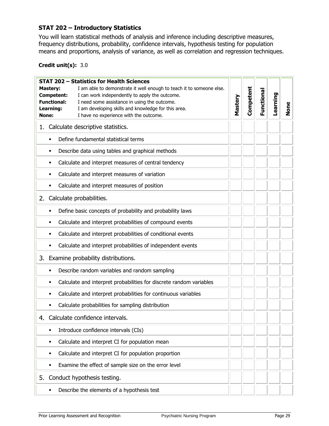# <span id="page-28-1"></span><span id="page-28-0"></span>**STAT 202 – Introductory Statistics**

You will learn statistical methods of analysis and inference including descriptive measures, frequency distributions, probability, confidence intervals, hypothesis testing for population means and proportions, analysis of variance, as well as correlation and regression techniques.

#### **Credit unit(s):** 3.0

| <b>STAT 202 - Statistics for Health Sciences</b>                                        |         |           |            |          |      |
|-----------------------------------------------------------------------------------------|---------|-----------|------------|----------|------|
| I am able to demonstrate it well enough to teach it to someone else.<br><b>Mastery:</b> |         |           |            |          |      |
| <b>Competent:</b><br>I can work independently to apply the outcome.                     | Mastery | Competent | Functional | Learning |      |
| <b>Functional:</b><br>I need some assistance in using the outcome.                      |         |           |            |          |      |
| Learning:<br>I am developing skills and knowledge for this area.                        |         |           |            |          | None |
| I have no experience with the outcome.<br>None:                                         |         |           |            |          |      |
| 1. Calculate descriptive statistics.                                                    |         |           |            |          |      |
| Define fundamental statistical terms<br>٠                                               |         |           |            |          |      |
| Describe data using tables and graphical methods<br>٠                                   |         |           |            |          |      |
| Calculate and interpret measures of central tendency<br>٠                               |         |           |            |          |      |
| Calculate and interpret measures of variation<br>٠                                      |         |           |            |          |      |
| Calculate and interpret measures of position<br>٠                                       |         |           |            |          |      |
| Calculate probabilities.<br>2.                                                          |         |           |            |          |      |
| Define basic concepts of probability and probability laws<br>٠                          |         |           |            |          |      |
| Calculate and interpret probabilities of compound events<br>٠                           |         |           |            |          |      |
| Calculate and interpret probabilities of conditional events<br>٠                        |         |           |            |          |      |
| Calculate and interpret probabilities of independent events<br>٠                        |         |           |            |          |      |
| 3. Examine probability distributions.                                                   |         |           |            |          |      |
| Describe random variables and random sampling<br>٠                                      |         |           |            |          |      |
| Calculate and interpret probabilities for discrete random variables<br>٠                |         |           |            |          |      |
| Calculate and interpret probabilities for continuous variables<br>٠                     |         |           |            |          |      |
| Calculate probabilities for sampling distribution<br>٠                                  |         |           |            |          |      |
| Calculate confidence intervals.<br>4.                                                   |         |           |            |          |      |
| Introduce confidence intervals (CIs)<br>٠                                               |         |           |            |          |      |
| Calculate and interpret CI for population mean<br>٠                                     |         |           |            |          |      |
| Calculate and interpret CI for population proportion<br>٠                               |         |           |            |          |      |
| Examine the effect of sample size on the error level<br>п                               |         |           |            |          |      |
| Conduct hypothesis testing.<br>5.                                                       |         |           |            |          |      |
| Describe the elements of a hypothesis test<br>٠                                         |         |           |            |          |      |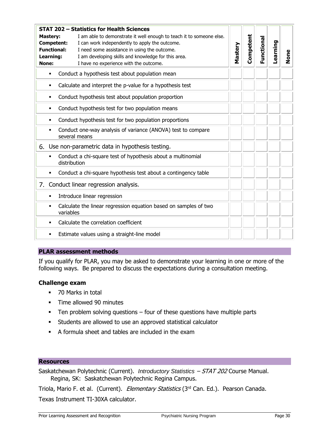|                                                                    | STAT 202 – Statistics for Health Sciences                                     |         |           |            |          |      |
|--------------------------------------------------------------------|-------------------------------------------------------------------------------|---------|-----------|------------|----------|------|
| <b>Mastery:</b>                                                    | I am able to demonstrate it well enough to teach it to someone else.          |         |           |            |          |      |
| Competent:<br>I can work independently to apply the outcome.       |                                                                               |         | Competent | Functional |          |      |
| <b>Functional:</b><br>I need some assistance in using the outcome. |                                                                               | Mastery |           |            | Learning |      |
| Learning:                                                          | I am developing skills and knowledge for this area.                           |         |           |            |          | None |
| None:                                                              | I have no experience with the outcome.                                        |         |           |            |          |      |
| ٠                                                                  | Conduct a hypothesis test about population mean                               |         |           |            |          |      |
| ٠                                                                  | Calculate and interpret the p-value for a hypothesis test                     |         |           |            |          |      |
| ٠                                                                  | Conduct hypothesis test about population proportion                           |         |           |            |          |      |
| ٠                                                                  | Conduct hypothesis test for two population means                              |         |           |            |          |      |
| ٠                                                                  | Conduct hypothesis test for two population proportions                        |         |           |            |          |      |
| ٠                                                                  | Conduct one-way analysis of variance (ANOVA) test to compare<br>several means |         |           |            |          |      |
|                                                                    | 6. Use non-parametric data in hypothesis testing.                             |         |           |            |          |      |
| ٠<br>distribution                                                  | Conduct a chi-square test of hypothesis about a multinomial                   |         |           |            |          |      |
| ٠                                                                  | Conduct a chi-square hypothesis test about a contingency table                |         |           |            |          |      |
|                                                                    | 7. Conduct linear regression analysis.                                        |         |           |            |          |      |
| ٠                                                                  | Introduce linear regression                                                   |         |           |            |          |      |
| ٠<br>variables                                                     | Calculate the linear regression equation based on samples of two              |         |           |            |          |      |
| ٠                                                                  | Calculate the correlation coefficient                                         |         |           |            |          |      |
| ٠                                                                  | Estimate values using a straight-line model                                   |         |           |            |          |      |

If you qualify for PLAR, you may be asked to demonstrate your learning in one or more of the following ways. Be prepared to discuss the expectations during a consultation meeting.

#### **Challenge exam**

- 70 Marks in total
- **Time allowed 90 minutes**
- $\blacksquare$  Ten problem solving questions  $-$  four of these questions have multiple parts
- Students are allowed to use an approved statistical calculator
- A formula sheet and tables are included in the exam

#### **Resources**

Saskatchewan Polytechnic (Current). *Introductory Statistics* – STAT 202 Course Manual. Regina, SK: Saskatchewan Polytechnic Regina Campus.

Triola, Mario F. et al. (Current). Elementary Statistics (3rd Can. Ed.). Pearson Canada.

Texas Instrument TI-30XA calculator.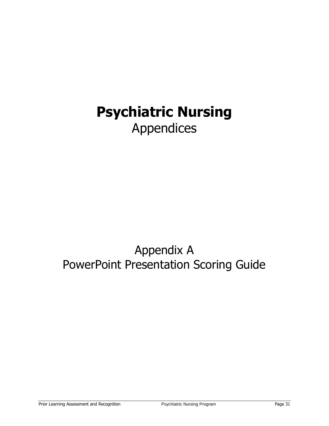# <span id="page-30-0"></span>**Psychiatric Nursing** Appendices

# <span id="page-30-2"></span><span id="page-30-1"></span>Appendix A PowerPoint Presentation Scoring Guide

Prior Learning Assessment and Recognition **Provident Provident Provident Page 31** Page 31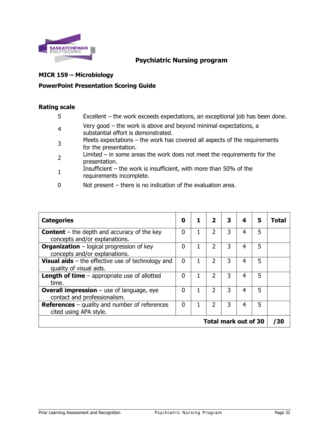

# **Psychiatric Nursing program**

#### **MICR 159 – Microbiology**

#### **PowerPoint Presentation Scoring Guide**

#### **Rating scale**

- 5 Excellent the work exceeds expectations, an exceptional job has been done.
- 4 Very good – the work is above and beyond minimal expectations, a substantial effort is demonstrated.
- 3 Meets expectations – the work has covered all aspects of the requirements for the presentation.
- 2 Limited – in some areas the work does not meet the requirements for the presentation.
- 1 Insufficient – the work is insufficient, with more than 50% of the requirements incomplete.
- 0 Not present there is no indication of the evaluation area.

| <b>Categories</b>                                                                     | 0        |   | $\overline{\mathbf{2}}$ | 3 | 4 | 5 | Total |  |
|---------------------------------------------------------------------------------------|----------|---|-------------------------|---|---|---|-------|--|
| <b>Content</b> – the depth and accuracy of the key<br>concepts and/or explanations.   | O        | 1 | $\overline{2}$          | 3 | 4 | 5 |       |  |
| <b>Organization</b> - logical progression of key<br>concepts and/or explanations.     | $\Omega$ |   | 2                       | 3 | 4 | 5 |       |  |
| <b>Visual aids</b> $-$ the effective use of technology and<br>quality of visual aids. | 0        |   | $\mathcal{P}$           | 3 | 4 | 5 |       |  |
| <b>Length of time</b> $-$ appropriate use of allotted<br>time.                        | 0        |   | 2                       | 3 | 4 | 5 |       |  |
| <b>Overall impression</b> $-$ use of language, eye<br>contact and professionalism.    | ŋ        |   | $\overline{2}$          | 3 | 4 | 5 |       |  |
| <b>References</b> $-$ quality and number of references<br>cited using APA style.      | $\Omega$ |   | $\mathcal{P}$           | 3 | 4 | 5 |       |  |
| <b>Total mark out of 30</b>                                                           |          |   |                         |   |   |   |       |  |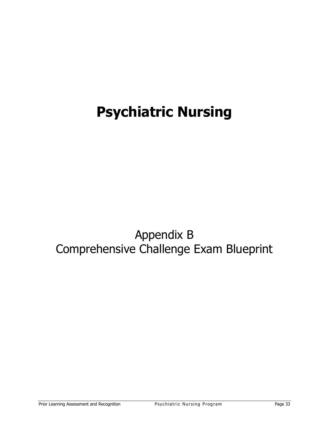# **Psychiatric Nursing**

# <span id="page-32-1"></span><span id="page-32-0"></span>Appendix B Comprehensive Challenge Exam Blueprint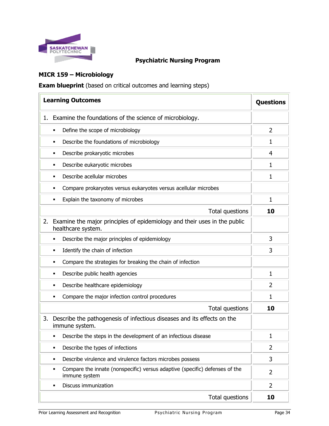

# **Psychiatric Nursing Program**

# **MICR 159 – Microbiology**

**Exam blueprint** (based on critical outcomes and learning steps)

|    | <b>Learning Outcomes</b>                                                                          | <b>Questions</b> |
|----|---------------------------------------------------------------------------------------------------|------------------|
| 1. | Examine the foundations of the science of microbiology.                                           |                  |
|    | Define the scope of microbiology<br>٠                                                             | $\overline{2}$   |
|    | Describe the foundations of microbiology<br>٠                                                     | 1                |
|    | Describe prokaryotic microbes<br>٠                                                                | $\overline{4}$   |
|    | Describe eukaryotic microbes<br>٠                                                                 | 1                |
|    | Describe acellular microbes                                                                       | 1                |
|    | Compare prokaryotes versus eukaryotes versus acellular microbes                                   |                  |
|    | Explain the taxonomy of microbes                                                                  | 1                |
|    | Total questions                                                                                   | 10               |
| 2. | Examine the major principles of epidemiology and their uses in the public<br>healthcare system.   |                  |
|    | Describe the major principles of epidemiology                                                     | 3                |
|    | Identify the chain of infection<br>٠                                                              | 3                |
|    | Compare the strategies for breaking the chain of infection<br>٠                                   |                  |
|    | Describe public health agencies<br>٠                                                              | 1                |
|    | Describe healthcare epidemiology<br>٠                                                             | 2                |
|    | Compare the major infection control procedures<br>п                                               | 1                |
|    | Total questions                                                                                   | 10               |
| 3. | Describe the pathogenesis of infectious diseases and its effects on the<br>immune system.         |                  |
|    | Describe the steps in the development of an infectious disease<br>٠                               | 1                |
|    | Describe the types of infections<br>٠                                                             | 2                |
|    | Describe virulence and virulence factors microbes possess<br>٠                                    | 3                |
|    | Compare the innate (nonspecific) versus adaptive (specific) defenses of the<br>٠<br>immune system | $\overline{2}$   |
|    | Discuss immunization                                                                              | $\overline{2}$   |
|    | Total questions                                                                                   | 10               |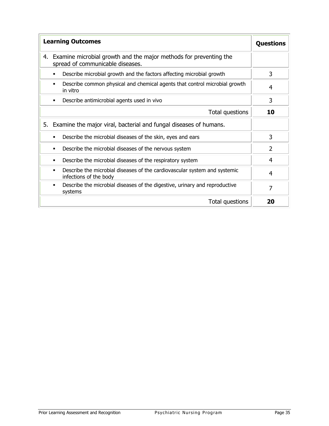| <b>Learning Outcomes</b>                                                                                    | <b>Questions</b> |
|-------------------------------------------------------------------------------------------------------------|------------------|
| Examine microbial growth and the major methods for preventing the<br>4.<br>spread of communicable diseases. |                  |
| Describe microbial growth and the factors affecting microbial growth<br>$\blacksquare$                      | 3                |
| Describe common physical and chemical agents that control microbial growth<br>$\blacksquare$<br>in vitro    | 4                |
| Describe antimicrobial agents used in vivo<br>$\blacksquare$                                                | 3                |
| Total questions                                                                                             | 10               |
| 5. Examine the major viral, bacterial and fungal diseases of humans.                                        |                  |
| Describe the microbial diseases of the skin, eyes and ears<br>$\blacksquare$                                | 3                |
| Describe the microbial diseases of the nervous system<br>$\blacksquare$                                     | $\overline{2}$   |
| Describe the microbial diseases of the respiratory system<br>٠                                              | 4                |
| Describe the microbial diseases of the cardiovascular system and systemic<br>٠<br>infections of the body    | 4                |
| Describe the microbial diseases of the digestive, urinary and reproductive<br>٠<br>systems                  | 7                |
| Total questions                                                                                             | 20               |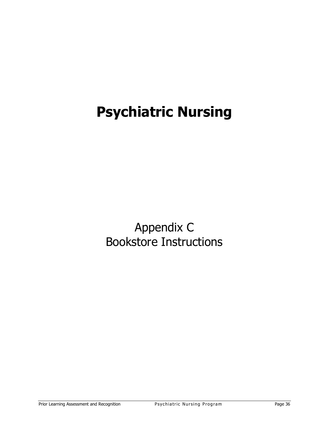# **Psychiatric Nursing**

<span id="page-35-1"></span><span id="page-35-0"></span>Appendix C Bookstore Instructions